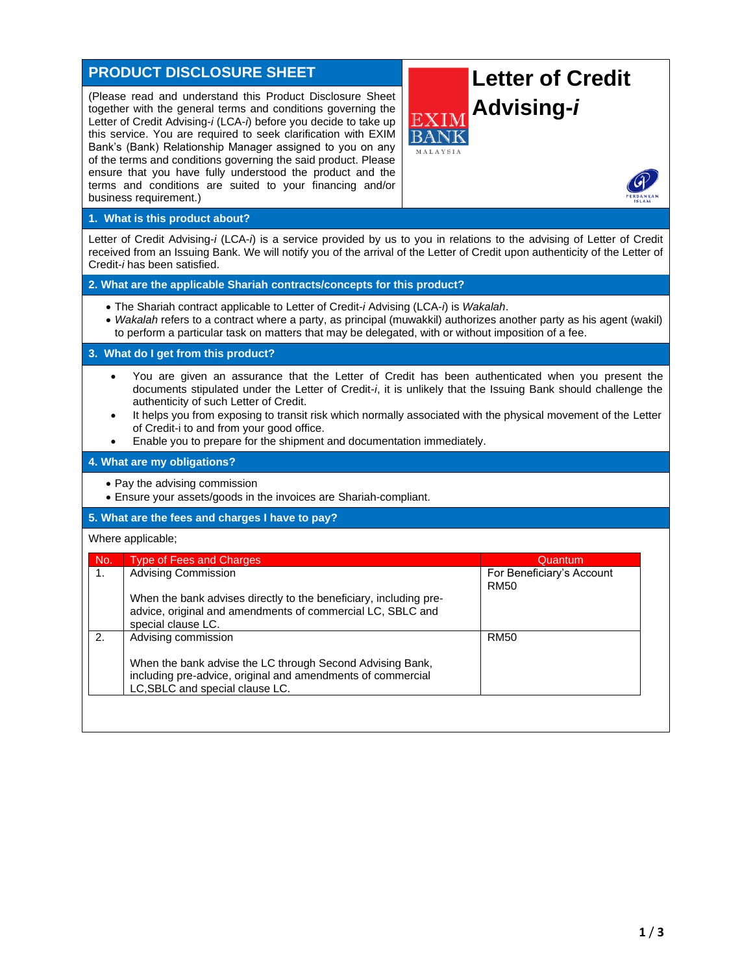# **PRODUCT DISCLOSURE SHEET**

(Please read and understand this Product Disclosure Sheet together with the general terms and conditions governing the Letter of Credit Advising-*i* (LCA-*i*) before you decide to take up this service. You are required to seek clarification with EXIM Bank's (Bank) Relationship Manager assigned to you on any of the terms and conditions governing the said product. Please ensure that you have fully understood the product and the terms and conditions are suited to your financing and/or business requirement.)

# **Letter of Credit Advising-***i*



### **1. What is this product about?**

Letter of Credit Advising-*i* (LCA-*i*) is a service provided by us to you in relations to the advising of Letter of Credit received from an Issuing Bank. We will notify you of the arrival of the Letter of Credit upon authenticity of the Letter of Credit-*i* has been satisfied.

**2. What are the applicable Shariah contracts/concepts for this product?**

- The Shariah contract applicable to Letter of Credit-*i* Advising (LCA-*i*) is *Wakalah*.
- *Wakalah* refers to a contract where a party, as principal (muwakkil) authorizes another party as his agent (wakil) to perform a particular task on matters that may be delegated, with or without imposition of a fee.

**3. What do I get from this product?**

- You are given an assurance that the Letter of Credit has been authenticated when you present the documents stipulated under the Letter of Credit-*i*, it is unlikely that the Issuing Bank should challenge the authenticity of such Letter of Credit.
- It helps you from exposing to transit risk which normally associated with the physical movement of the Letter of Credit-i to and from your good office.
- Enable you to prepare for the shipment and documentation immediately.

#### **4. What are my obligations?**

- Pay the advising commission
- Ensure your assets/goods in the invoices are Shariah-compliant.

#### **5. What are the fees and charges I have to pay?**

#### Where applicable;

| No. | <b>Type of Fees and Charges</b>                                                                                                                             | Quantum                                  |
|-----|-------------------------------------------------------------------------------------------------------------------------------------------------------------|------------------------------------------|
| 1.  | <b>Advising Commission</b>                                                                                                                                  | For Beneficiary's Account<br><b>RM50</b> |
|     | When the bank advises directly to the beneficiary, including pre-<br>advice, original and amendments of commercial LC, SBLC and<br>special clause LC.       |                                          |
| 2.  | Advising commission                                                                                                                                         | <b>RM50</b>                              |
|     | When the bank advise the LC through Second Advising Bank,<br>including pre-advice, original and amendments of commercial<br>LC, SBLC and special clause LC. |                                          |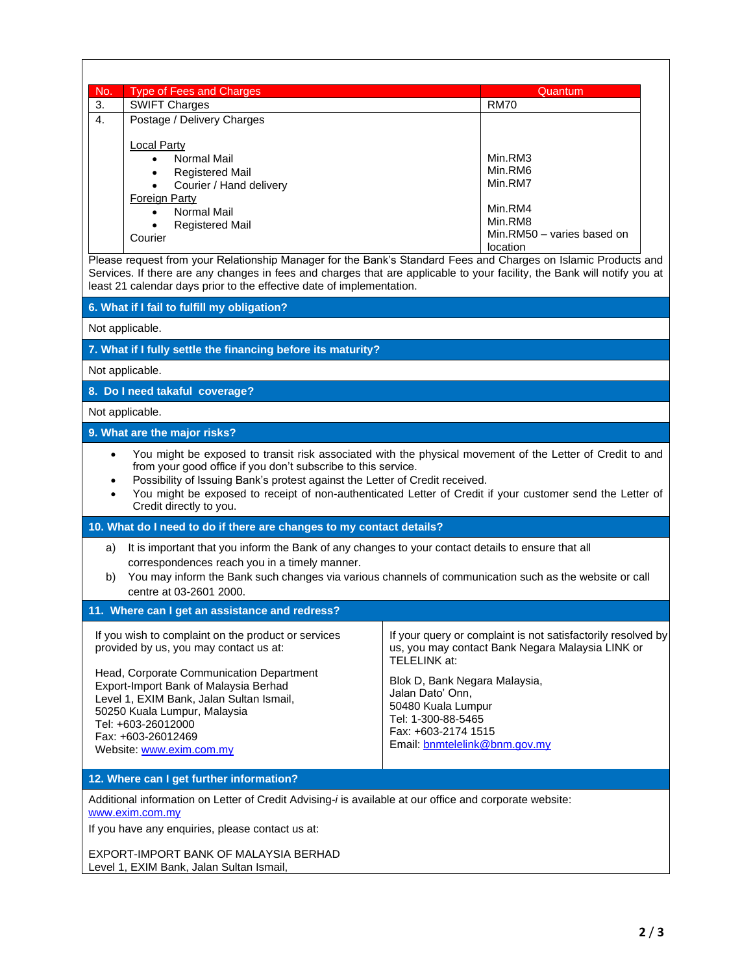| No.                                                                                                                                                                                                                                                                                                                                                                                                             | <b>Type of Fees and Charges</b>                                                                                                                         | Quantum                                                                                                                          |  |  |  |
|-----------------------------------------------------------------------------------------------------------------------------------------------------------------------------------------------------------------------------------------------------------------------------------------------------------------------------------------------------------------------------------------------------------------|---------------------------------------------------------------------------------------------------------------------------------------------------------|----------------------------------------------------------------------------------------------------------------------------------|--|--|--|
| 3.                                                                                                                                                                                                                                                                                                                                                                                                              | <b>SWIFT Charges</b>                                                                                                                                    | <b>RM70</b>                                                                                                                      |  |  |  |
| $\mathbf{4}$ .                                                                                                                                                                                                                                                                                                                                                                                                  | Postage / Delivery Charges                                                                                                                              |                                                                                                                                  |  |  |  |
|                                                                                                                                                                                                                                                                                                                                                                                                                 | <b>Local Party</b>                                                                                                                                      |                                                                                                                                  |  |  |  |
|                                                                                                                                                                                                                                                                                                                                                                                                                 | <b>Normal Mail</b><br>$\bullet$                                                                                                                         | Min.RM3                                                                                                                          |  |  |  |
|                                                                                                                                                                                                                                                                                                                                                                                                                 | <b>Registered Mail</b><br>$\bullet$                                                                                                                     | Min.RM6<br>Min.RM7                                                                                                               |  |  |  |
|                                                                                                                                                                                                                                                                                                                                                                                                                 | Courier / Hand delivery<br>$\bullet$<br>Foreign Party                                                                                                   |                                                                                                                                  |  |  |  |
|                                                                                                                                                                                                                                                                                                                                                                                                                 | Normal Mail                                                                                                                                             | Min.RM4                                                                                                                          |  |  |  |
|                                                                                                                                                                                                                                                                                                                                                                                                                 | <b>Registered Mail</b>                                                                                                                                  | Min.RM8                                                                                                                          |  |  |  |
|                                                                                                                                                                                                                                                                                                                                                                                                                 | Courier                                                                                                                                                 | Min.RM50 - varies based on<br>location                                                                                           |  |  |  |
| Please request from your Relationship Manager for the Bank's Standard Fees and Charges on Islamic Products and<br>Services. If there are any changes in fees and charges that are applicable to your facility, the Bank will notify you at<br>least 21 calendar days prior to the effective date of implementation.                                                                                             |                                                                                                                                                         |                                                                                                                                  |  |  |  |
|                                                                                                                                                                                                                                                                                                                                                                                                                 | 6. What if I fail to fulfill my obligation?                                                                                                             |                                                                                                                                  |  |  |  |
|                                                                                                                                                                                                                                                                                                                                                                                                                 | Not applicable.                                                                                                                                         |                                                                                                                                  |  |  |  |
|                                                                                                                                                                                                                                                                                                                                                                                                                 | 7. What if I fully settle the financing before its maturity?                                                                                            |                                                                                                                                  |  |  |  |
|                                                                                                                                                                                                                                                                                                                                                                                                                 | Not applicable.                                                                                                                                         |                                                                                                                                  |  |  |  |
| 8. Do I need takaful coverage?                                                                                                                                                                                                                                                                                                                                                                                  |                                                                                                                                                         |                                                                                                                                  |  |  |  |
|                                                                                                                                                                                                                                                                                                                                                                                                                 | Not applicable.                                                                                                                                         |                                                                                                                                  |  |  |  |
|                                                                                                                                                                                                                                                                                                                                                                                                                 | 9. What are the major risks?                                                                                                                            |                                                                                                                                  |  |  |  |
| You might be exposed to transit risk associated with the physical movement of the Letter of Credit to and<br>$\bullet$<br>from your good office if you don't subscribe to this service.<br>Possibility of Issuing Bank's protest against the Letter of Credit received.<br>You might be exposed to receipt of non-authenticated Letter of Credit if your customer send the Letter of<br>Credit directly to you. |                                                                                                                                                         |                                                                                                                                  |  |  |  |
| 10. What do I need to do if there are changes to my contact details?                                                                                                                                                                                                                                                                                                                                            |                                                                                                                                                         |                                                                                                                                  |  |  |  |
| a)                                                                                                                                                                                                                                                                                                                                                                                                              | It is important that you inform the Bank of any changes to your contact details to ensure that all                                                      |                                                                                                                                  |  |  |  |
| b)                                                                                                                                                                                                                                                                                                                                                                                                              | correspondences reach you in a timely manner.<br>You may inform the Bank such changes via various channels of communication such as the website or call |                                                                                                                                  |  |  |  |
| centre at 03-2601 2000.                                                                                                                                                                                                                                                                                                                                                                                         |                                                                                                                                                         |                                                                                                                                  |  |  |  |
|                                                                                                                                                                                                                                                                                                                                                                                                                 | 11. Where can I get an assistance and redress?                                                                                                          |                                                                                                                                  |  |  |  |
|                                                                                                                                                                                                                                                                                                                                                                                                                 | If you wish to complaint on the product or services<br>provided by us, you may contact us at:                                                           | If your query or complaint is not satisfactorily resolved by<br>us, you may contact Bank Negara Malaysia LINK or<br>TELELINK at: |  |  |  |
|                                                                                                                                                                                                                                                                                                                                                                                                                 | Head, Corporate Communication Department                                                                                                                | Blok D, Bank Negara Malaysia,                                                                                                    |  |  |  |
|                                                                                                                                                                                                                                                                                                                                                                                                                 | Export-Import Bank of Malaysia Berhad<br>Level 1, EXIM Bank, Jalan Sultan Ismail,                                                                       | Jalan Dato' Onn,                                                                                                                 |  |  |  |
|                                                                                                                                                                                                                                                                                                                                                                                                                 | 50250 Kuala Lumpur, Malaysia                                                                                                                            | 50480 Kuala Lumpur                                                                                                               |  |  |  |
|                                                                                                                                                                                                                                                                                                                                                                                                                 | Tel: +603-26012000                                                                                                                                      | Tel: 1-300-88-5465<br>Fax: +603-2174 1515                                                                                        |  |  |  |
|                                                                                                                                                                                                                                                                                                                                                                                                                 | Fax: +603-26012469<br>Website: www.exim.com.my                                                                                                          | Email: bnmtelelink@bnm.gov.my                                                                                                    |  |  |  |
|                                                                                                                                                                                                                                                                                                                                                                                                                 |                                                                                                                                                         |                                                                                                                                  |  |  |  |
|                                                                                                                                                                                                                                                                                                                                                                                                                 | 12. Where can I get further information?                                                                                                                |                                                                                                                                  |  |  |  |
| Additional information on Letter of Credit Advising-i is available at our office and corporate website:<br>www.exim.com.my                                                                                                                                                                                                                                                                                      |                                                                                                                                                         |                                                                                                                                  |  |  |  |
| If you have any enquiries, please contact us at:                                                                                                                                                                                                                                                                                                                                                                |                                                                                                                                                         |                                                                                                                                  |  |  |  |
| EXPORT-IMPORT BANK OF MALAYSIA BERHAD<br>Level 1, EXIM Bank, Jalan Sultan Ismail,                                                                                                                                                                                                                                                                                                                               |                                                                                                                                                         |                                                                                                                                  |  |  |  |